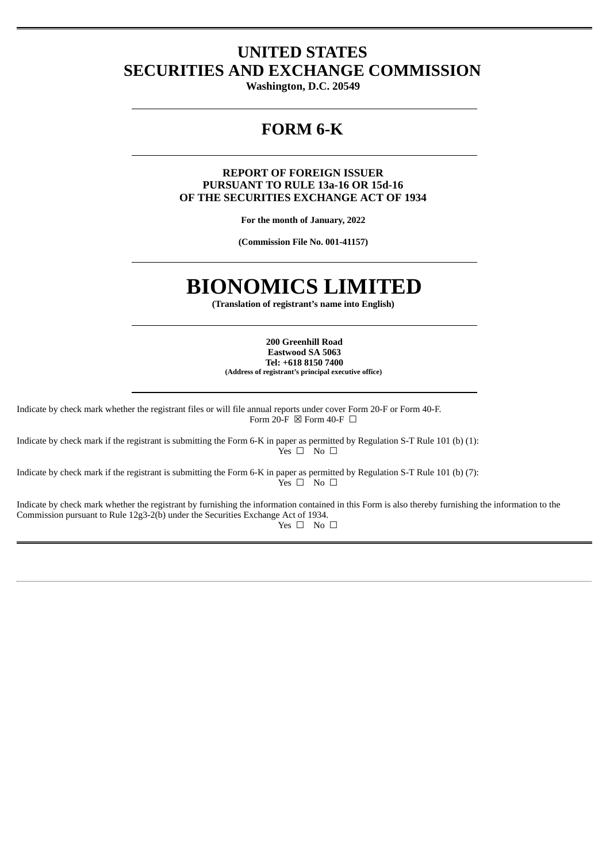# **UNITED STATES SECURITIES AND EXCHANGE COMMISSION**

**Washington, D.C. 20549**

# **FORM 6-K**

### **REPORT OF FOREIGN ISSUER PURSUANT TO RULE 13a-16 OR 15d-16 OF THE SECURITIES EXCHANGE ACT OF 1934**

**For the month of January, 2022**

**(Commission File No. 001-41157)**

# **BIONOMICS LIMITED**

**(Translation of registrant's name into English)**

**200 Greenhill Road Eastwood SA 5063 Tel: +618 8150 7400 (Address of registrant's principal executive office)**

Indicate by check mark whether the registrant files or will file annual reports under cover Form 20-F or Form 40-F. Form 20-F  $\boxtimes$  Form 40-F  $\Box$ 

Indicate by check mark if the registrant is submitting the Form 6-K in paper as permitted by Regulation S-T Rule 101 (b) (1):  $Yes \Box$  No  $\Box$ 

Indicate by check mark if the registrant is submitting the Form 6-K in paper as permitted by Regulation S-T Rule 101 (b) (7):  $Y$ es  $\square$  No  $\square$ 

Indicate by check mark whether the registrant by furnishing the information contained in this Form is also thereby furnishing the information to the Commission pursuant to Rule 12g3-2(b) under the Securities Exchange Act of 1934. Yes □ No □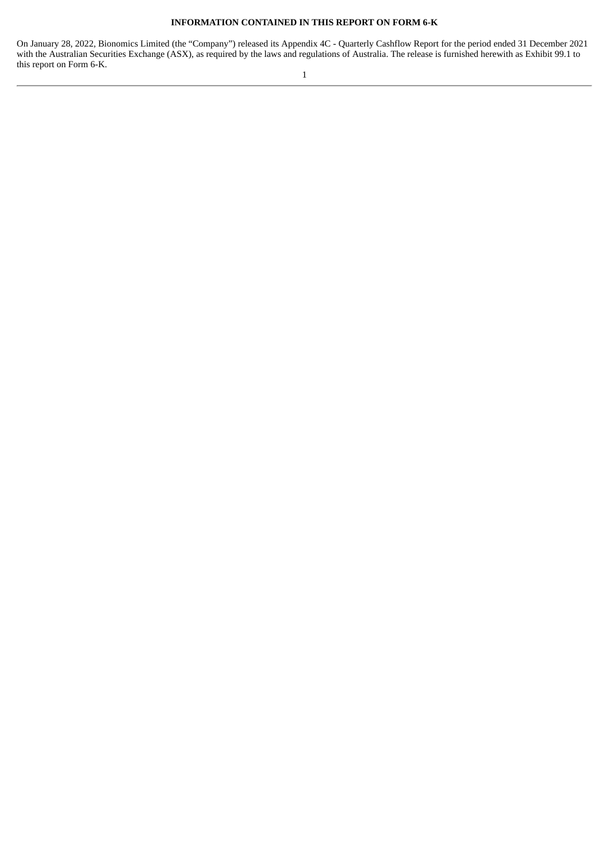#### **INFORMATION CONTAINED IN THIS REPORT ON FORM 6-K**

On January 28, 2022, Bionomics Limited (the "Company") released its Appendix 4C - Quarterly Cashflow Report for the period ended 31 December 2021 with the Australian Securities Exchange (ASX), as required by the laws and regulations of Australia. The release is furnished herewith as Exhibit 99.1 to this report on Form 6-K.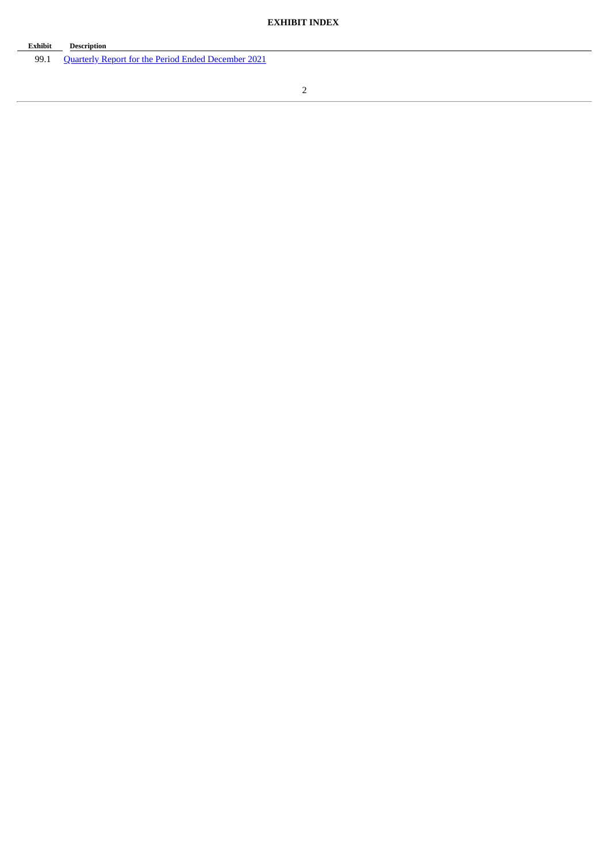| Exhibit | <b>Description</b>                                         |
|---------|------------------------------------------------------------|
| 99.1    | <b>Quarterly Report for the Period Ended December 2021</b> |

2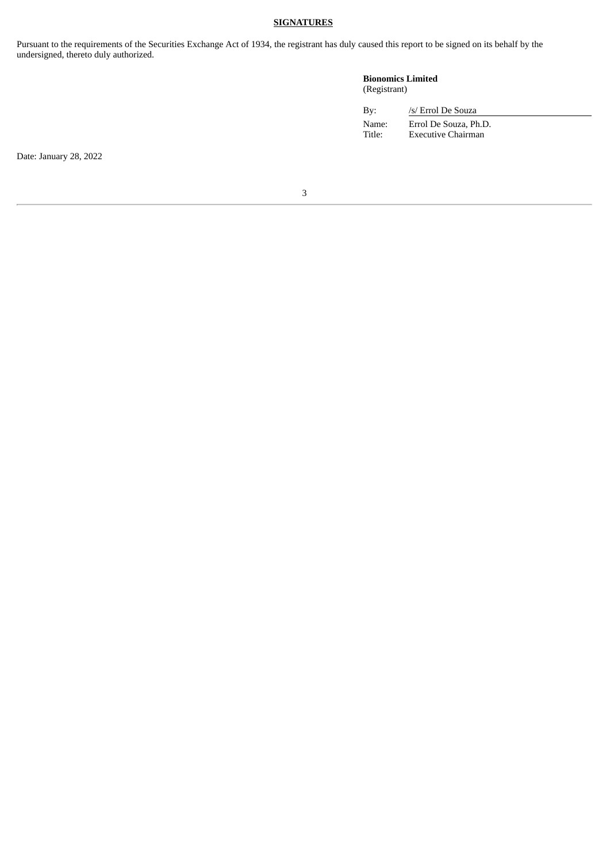### **SIGNATURES**

Pursuant to the requirements of the Securities Exchange Act of 1934, the registrant has duly caused this report to be signed on its behalf by the undersigned, thereto duly authorized.

### **Bionomics Limited** (Registrant)

| By:             | /s/ Errol De Souza                          |  |
|-----------------|---------------------------------------------|--|
| Name:<br>Title: | Errol De Souza, Ph.D.<br>Executive Chairman |  |

Date: January 28, 2022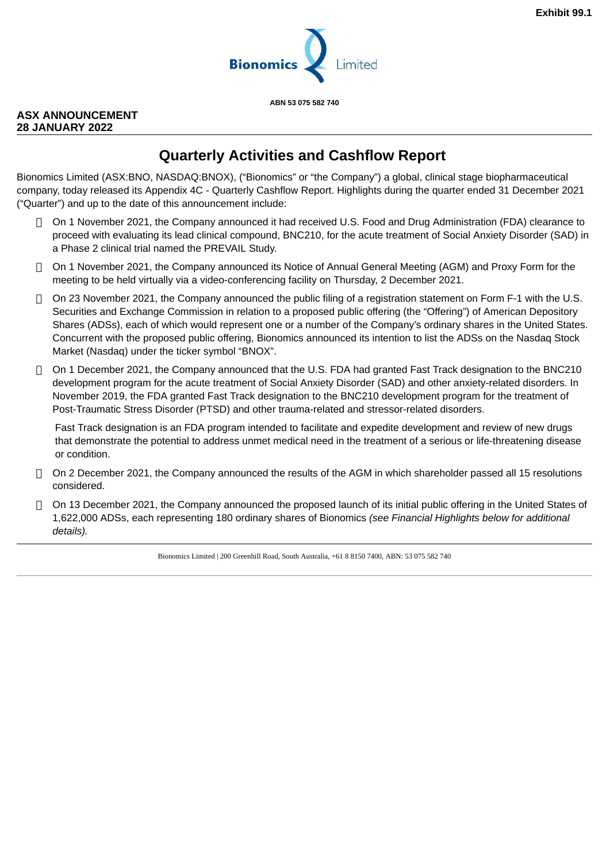

**ABN 53 075 582 740**

# <span id="page-4-0"></span>**ASX ANNOUNCEMENT 28 JANUARY 2022**

# **Quarterly Activities and Cashflow Report**

Bionomics Limited (ASX:BNO, NASDAQ:BNOX), ("Bionomics" or "the Company") a global, clinical stage biopharmaceutical company, today released its Appendix 4C - Quarterly Cashflow Report. Highlights during the quarter ended 31 December 2021 ("Quarter") and up to the date of this announcement include:

- □ On 1 November 2021, the Company announced it had received U.S. Food and Drug Administration (FDA) clearance to proceed with evaluating its lead clinical compound, BNC210, for the acute treatment of Social Anxiety Disorder (SAD) in a Phase 2 clinical trial named the PREVAIL Study.
- On 1 November 2021, the Company announced its Notice of Annual General Meeting (AGM) and Proxy Form for the meeting to be held virtually via a video-conferencing facility on Thursday, 2 December 2021.
- $\Box$  On 23 November 2021, the Company announced the public filing of a registration statement on Form F-1 with the U.S. Securities and Exchange Commission in relation to a proposed public offering (the "Offering") of American Depository Shares (ADSs), each of which would represent one or a number of the Company's ordinary shares in the United States. Concurrent with the proposed public offering, Bionomics announced its intention to list the ADSs on the Nasdaq Stock Market (Nasdaq) under the ticker symbol "BNOX".
- $\Box$  On 1 December 2021, the Company announced that the U.S. FDA had granted Fast Track designation to the BNC210 development program for the acute treatment of Social Anxiety Disorder (SAD) and other anxiety-related disorders. In November 2019, the FDA granted Fast Track designation to the BNC210 development program for the treatment of Post-Traumatic Stress Disorder (PTSD) and other trauma-related and stressor-related disorders.

Fast Track designation is an FDA program intended to facilitate and expedite development and review of new drugs that demonstrate the potential to address unmet medical need in the treatment of a serious or life-threatening disease or condition.

- $\Box$  On 2 December 2021, the Company announced the results of the AGM in which shareholder passed all 15 resolutions considered.
- $\Box$  On 13 December 2021, the Company announced the proposed launch of its initial public offering in the United States of 1,622,000 ADSs, each representing 180 ordinary shares of Bionomics *(see Financial Highlights below for additional details).*

Bionomics Limited | 200 Greenhill Road, South Australia, +61 8 8150 7400, ABN: 53 075 582 740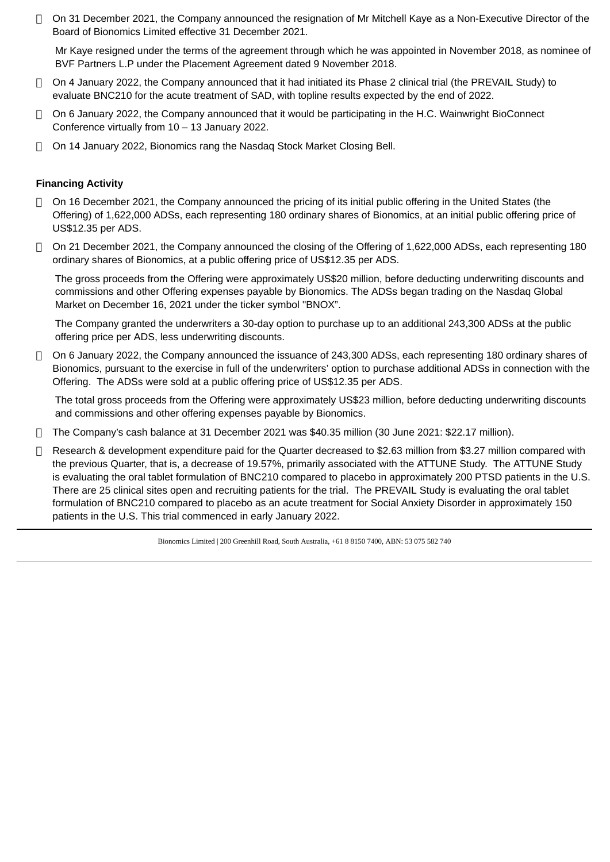$\Box$  On 31 December 2021, the Company announced the resignation of Mr Mitchell Kaye as a Non-Executive Director of the Board of Bionomics Limited effective 31 December 2021.

Mr Kaye resigned under the terms of the agreement through which he was appointed in November 2018, as nominee of BVF Partners L.P under the Placement Agreement dated 9 November 2018.

- On 4 January 2022, the Company announced that it had initiated its Phase 2 clinical trial (the PREVAIL Study) to evaluate BNC210 for the acute treatment of SAD, with topline results expected by the end of 2022.
- $\Box$  On 6 January 2022, the Company announced that it would be participating in the H.C. Wainwright BioConnect Conference virtually from 10 – 13 January 2022.
- On 14 January 2022, Bionomics rang the Nasdaq Stock Market Closing Bell.

## **Financing Activity**

- On 16 December 2021, the Company announced the pricing of its initial public offering in the United States (the Offering) of 1,622,000 ADSs, each representing 180 ordinary shares of Bionomics, at an initial public offering price of US\$12.35 per ADS.
- On 21 December 2021, the Company announced the closing of the Offering of 1,622,000 ADSs, each representing 180 ordinary shares of Bionomics, at a public offering price of US\$12.35 per ADS.

The gross proceeds from the Offering were approximately US\$20 million, before deducting underwriting discounts and commissions and other Offering expenses payable by Bionomics. The ADSs began trading on the Nasdaq Global Market on December 16, 2021 under the ticker symbol "BNOX".

The Company granted the underwriters a 30-day option to purchase up to an additional 243,300 ADSs at the public offering price per ADS, less underwriting discounts.

 On 6 January 2022, the Company announced the issuance of 243,300 ADSs, each representing 180 ordinary shares of Bionomics, pursuant to the exercise in full of the underwriters' option to purchase additional ADSs in connection with the Offering. The ADSs were sold at a public offering price of US\$12.35 per ADS.

The total gross proceeds from the Offering were approximately US\$23 million, before deducting underwriting discounts and commissions and other offering expenses payable by Bionomics.

- The Company's cash balance at 31 December 2021 was \$40.35 million (30 June 2021: \$22.17 million).
- $\Box$  Research & development expenditure paid for the Quarter decreased to \$2.63 million from \$3.27 million compared with the previous Quarter, that is, a decrease of 19.57%, primarily associated with the ATTUNE Study. The ATTUNE Study is evaluating the oral tablet formulation of BNC210 compared to placebo in approximately 200 PTSD patients in the U.S. There are 25 clinical sites open and recruiting patients for the trial. The PREVAIL Study is evaluating the oral tablet formulation of BNC210 compared to placebo as an acute treatment for Social Anxiety Disorder in approximately 150 patients in the U.S. This trial commenced in early January 2022.

Bionomics Limited | 200 Greenhill Road, South Australia, +61 8 8150 7400, ABN: 53 075 582 740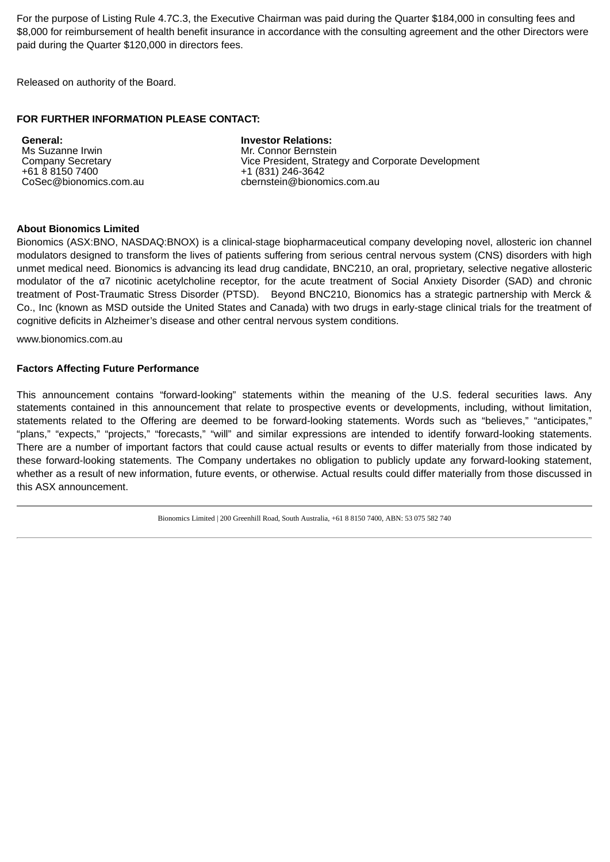For the purpose of Listing Rule 4.7C.3, the Executive Chairman was paid during the Quarter \$184,000 in consulting fees and \$8,000 for reimbursement of health benefit insurance in accordance with the consulting agreement and the other Directors were paid during the Quarter \$120,000 in directors fees.

Released on authority of the Board.

### **FOR FURTHER INFORMATION PLEASE CONTACT:**

**General:** Ms Suzanne Irwin Company Secretary +61 8 8150 7400 CoSec@bionomics.com.au **Investor Relations:** Mr. Connor Bernstein Vice President, Strategy and Corporate Development +1 (831) 246-3642 cbernstein@bionomics.com.au

### **About Bionomics Limited**

Bionomics (ASX:BNO, NASDAQ:BNOX) is a clinical-stage biopharmaceutical company developing novel, allosteric ion channel modulators designed to transform the lives of patients suffering from serious central nervous system (CNS) disorders with high unmet medical need. Bionomics is advancing its lead drug candidate, BNC210, an oral, proprietary, selective negative allosteric modulator of the α7 nicotinic acetylcholine receptor, for the acute treatment of Social Anxiety Disorder (SAD) and chronic treatment of Post-Traumatic Stress Disorder (PTSD). Beyond BNC210, Bionomics has a strategic partnership with Merck & Co., Inc (known as MSD outside the United States and Canada) with two drugs in early-stage clinical trials for the treatment of cognitive deficits in Alzheimer's disease and other central nervous system conditions.

www.bionomics.com.au

#### **Factors Affecting Future Performance**

This announcement contains "forward-looking" statements within the meaning of the U.S. federal securities laws. Any statements contained in this announcement that relate to prospective events or developments, including, without limitation, statements related to the Offering are deemed to be forward-looking statements. Words such as "believes," "anticipates," "plans," "expects," "projects," "forecasts," "will" and similar expressions are intended to identify forward-looking statements. There are a number of important factors that could cause actual results or events to differ materially from those indicated by these forward-looking statements. The Company undertakes no obligation to publicly update any forward-looking statement, whether as a result of new information, future events, or otherwise. Actual results could differ materially from those discussed in this ASX announcement.

Bionomics Limited | 200 Greenhill Road, South Australia, +61 8 8150 7400, ABN: 53 075 582 740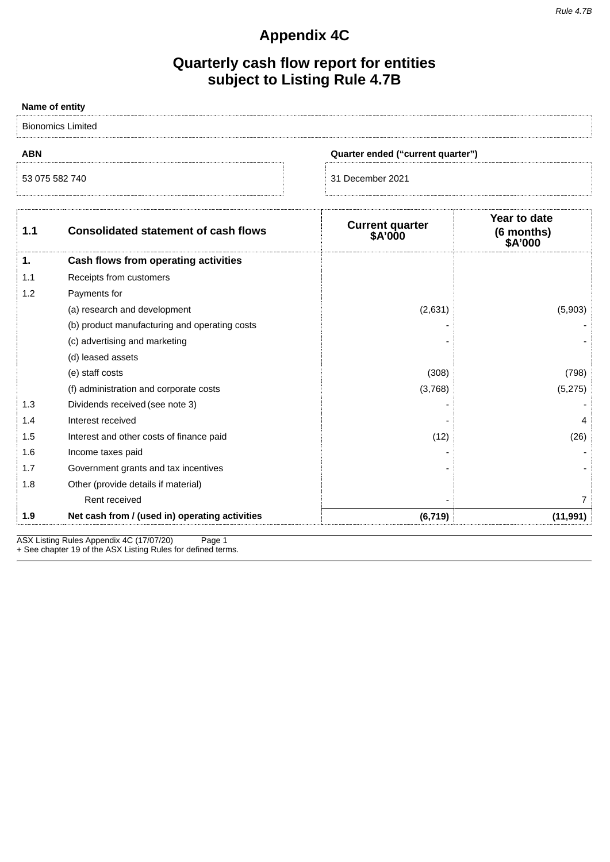#### *Rule 4.7B*

# **Appendix 4C**

# **Quarterly cash flow report for entities subject to Listing Rule 4.7B**

| Name of entity           |                                                |                                   |                                       |
|--------------------------|------------------------------------------------|-----------------------------------|---------------------------------------|
| <b>Bionomics Limited</b> |                                                |                                   |                                       |
| <b>ABN</b>               | Quarter ended ("current quarter")              |                                   |                                       |
| 53 075 582 740           |                                                | 31 December 2021                  |                                       |
| 1.1                      | <b>Consolidated statement of cash flows</b>    | <b>Current quarter</b><br>\$A'000 | Year to date<br>(6 months)<br>\$A'000 |
| 1.                       | Cash flows from operating activities           |                                   |                                       |
| 1.1                      | Receipts from customers                        |                                   |                                       |
| 1.2                      | Payments for                                   |                                   |                                       |
|                          | (a) research and development                   | (2,631)                           | (5,903)                               |
|                          | (b) product manufacturing and operating costs  |                                   |                                       |
|                          | (c) advertising and marketing                  |                                   |                                       |
|                          | (d) leased assets                              |                                   |                                       |
|                          | (e) staff costs                                | (308)                             | (798)                                 |
|                          | (f) administration and corporate costs         | (3,768)                           | (5, 275)                              |
| 1.3                      | Dividends received (see note 3)                |                                   |                                       |
| 1.4                      | Interest received                              |                                   | 4                                     |
| 1.5                      | Interest and other costs of finance paid       | (12)                              | (26)                                  |
| 1.6                      | Income taxes paid                              |                                   |                                       |
| 1.7                      | Government grants and tax incentives           |                                   |                                       |
| 1.8                      | Other (provide details if material)            |                                   |                                       |
|                          | Rent received                                  |                                   | $\overline{7}$                        |
| 1.9                      | Net cash from / (used in) operating activities | (6, 719)                          | (11, 991)                             |

ASX Listing Rules Appendix 4C (17/07/20) Page 1 + See chapter 19 of the ASX Listing Rules for defined terms.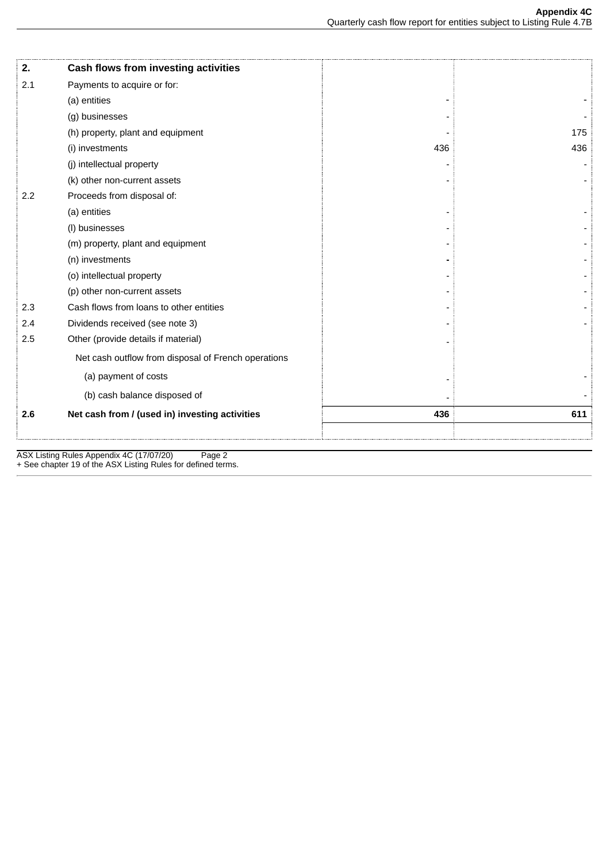| 2.  | Cash flows from investing activities                |     |     |
|-----|-----------------------------------------------------|-----|-----|
| 2.1 | Payments to acquire or for:                         |     |     |
|     | (a) entities                                        |     |     |
|     | (g) businesses                                      |     |     |
|     | (h) property, plant and equipment                   |     | 175 |
|     | (i) investments                                     | 436 | 436 |
|     | (j) intellectual property                           |     |     |
|     | (k) other non-current assets                        |     |     |
| 2.2 | Proceeds from disposal of:                          |     |     |
|     | (a) entities                                        |     |     |
|     | (I) businesses                                      |     |     |
|     | (m) property, plant and equipment                   |     |     |
|     | (n) investments                                     |     |     |
|     | (o) intellectual property                           |     |     |
|     | (p) other non-current assets                        |     |     |
| 2.3 | Cash flows from loans to other entities             |     |     |
| 2.4 | Dividends received (see note 3)                     |     |     |
| 2.5 | Other (provide details if material)                 |     |     |
|     | Net cash outflow from disposal of French operations |     |     |
|     | (a) payment of costs                                |     |     |
|     | (b) cash balance disposed of                        |     |     |
| 2.6 | Net cash from / (used in) investing activities      | 436 | 611 |
|     |                                                     |     |     |

ASX Listing Rules Appendix 4C (17/07/20) Page 2 + See chapter 19 of the ASX Listing Rules for defined terms.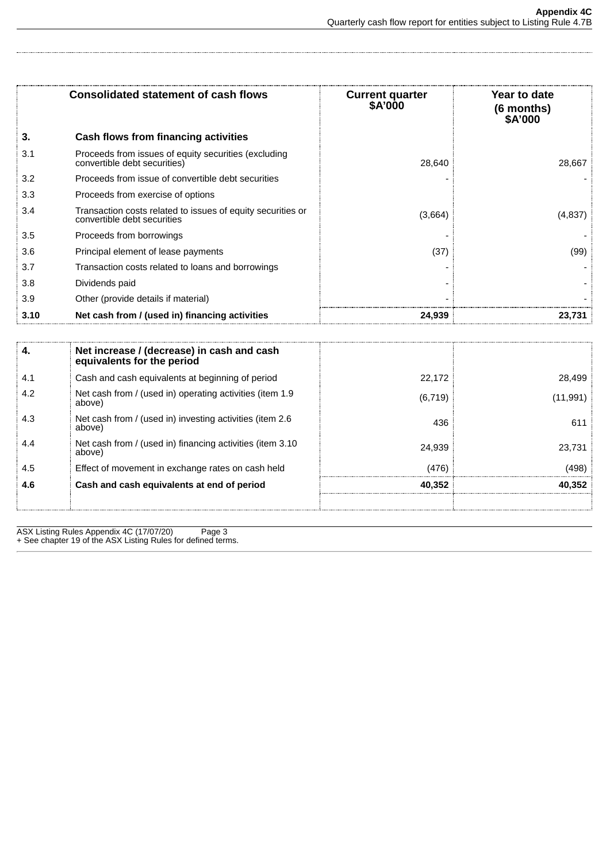| Consolidated statement of cash flows |                                                                                            | Year to date<br><b>Current quarter</b><br>\$A'000<br>(6 months)<br>\$A'000 |         |
|--------------------------------------|--------------------------------------------------------------------------------------------|----------------------------------------------------------------------------|---------|
| 3.                                   | Cash flows from financing activities                                                       |                                                                            |         |
| 3.1                                  | Proceeds from issues of equity securities (excluding<br>convertible debt securities)       | 28.640                                                                     | 28,667  |
| 3.2                                  | Proceeds from issue of convertible debt securities                                         |                                                                            |         |
| 3.3                                  | Proceeds from exercise of options                                                          |                                                                            |         |
| 3.4                                  | Transaction costs related to issues of equity securities or<br>convertible debt securities | (3,664)                                                                    | (4,837) |
| 3.5                                  | Proceeds from borrowings                                                                   |                                                                            |         |
| 3.6                                  | Principal element of lease payments                                                        | (37)                                                                       | (99)    |
| 3.7                                  | Transaction costs related to loans and borrowings                                          |                                                                            |         |
| 3.8                                  | Dividends paid                                                                             |                                                                            |         |
| 3.9                                  | Other (provide details if material)                                                        |                                                                            |         |
| 3.10                                 | Net cash from / (used in) financing activities                                             | 24,939                                                                     | 23,731  |

| 4.  | Net increase / (decrease) in cash and cash<br>equivalents for the period |          |           |
|-----|--------------------------------------------------------------------------|----------|-----------|
| 4.1 | Cash and cash equivalents at beginning of period                         | 22.172   | 28.499    |
| 4.2 | Net cash from / (used in) operating activities (item 1.9<br>above)       | (6, 719) | (11, 991) |
| 4.3 | Net cash from / (used in) investing activities (item 2.6<br>above)       | 436      | 611       |
| 4.4 | Net cash from / (used in) financing activities (item 3.10<br>above)      | 24.939   | 23.731    |
| 4.5 | Effect of movement in exchange rates on cash held                        | (476)    | (498)     |
| 4.6 | Cash and cash equivalents at end of period                               | 40.352   | 40.352    |
|     |                                                                          |          |           |

ASX Listing Rules Appendix 4C (17/07/20) Page 3 + See chapter 19 of the ASX Listing Rules for defined terms.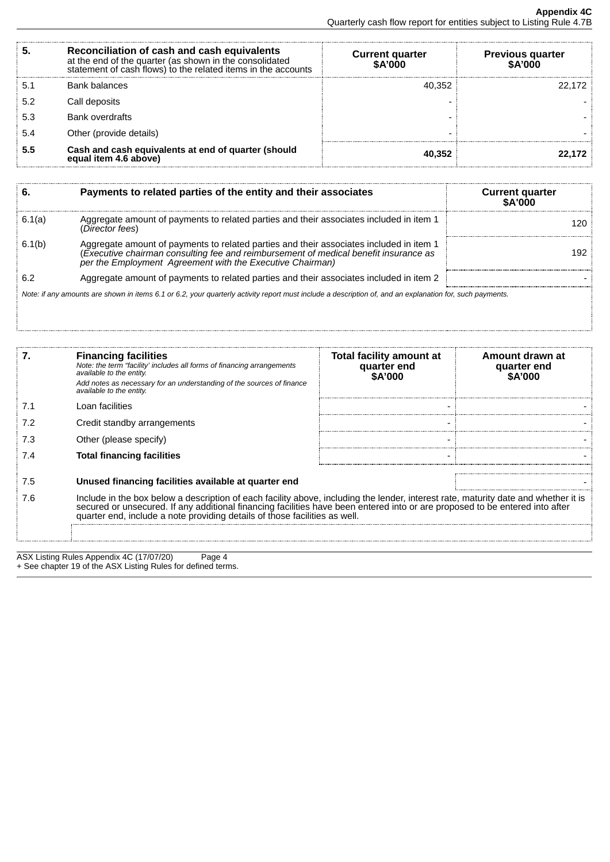|     | Reconciliation of cash and cash equivalents<br>at the end of the quarter (as shown in the consolidated<br>statement of cash flows) to the related items in the accounts | <b>Current quarter</b><br>\$A'000 | <b>Previous quarter</b><br><b>SA'000</b> |
|-----|-------------------------------------------------------------------------------------------------------------------------------------------------------------------------|-----------------------------------|------------------------------------------|
|     | <b>Bank balances</b>                                                                                                                                                    | 40,352                            | 22 172                                   |
| 5.2 | Call deposits                                                                                                                                                           |                                   |                                          |
| 5.3 | <b>Bank overdrafts</b>                                                                                                                                                  |                                   |                                          |
| 5.4 | Other (provide details)                                                                                                                                                 |                                   |                                          |
| 5.5 | Cash and cash equivalents at end of quarter (should<br>equal item 4.6 above)                                                                                            | 40,352                            |                                          |

|        | Payments to related parties of the entity and their associates                                                                                                                                                                            | <b>Current quarter</b><br><b>SA'000</b> |
|--------|-------------------------------------------------------------------------------------------------------------------------------------------------------------------------------------------------------------------------------------------|-----------------------------------------|
| 6.1(a) | Aggregate amount of payments to related parties and their associates included in item 1<br>(Director fees)                                                                                                                                |                                         |
| 6.1(b) | Aggregate amount of payments to related parties and their associates included in item 1 (Executive chairman consulting fee and reimbursement of medical benefit insurance as<br>per the Employment Agreement with the Executive Chairman) | 192                                     |
| 6.2    | Aggregate amount of payments to related parties and their associates included in item 2                                                                                                                                                   |                                         |
|        | Note: if any amounts are shown in items 6.1 or 6.2, your quarterly activity report must include a description of, and an explanation for, such payments.                                                                                  |                                         |

|     | <b>Financing facilities</b><br>Note: the term "facility' includes all forms of financing arrangements<br>available to the entity.<br>Add notes as necessary for an understanding of the sources of finance<br>available to the entity.                                                                                                            | Total facility amount at<br>quarter end<br>\$A'000 | Amount drawn at<br>quarter end<br>\$A'000 |
|-----|---------------------------------------------------------------------------------------------------------------------------------------------------------------------------------------------------------------------------------------------------------------------------------------------------------------------------------------------------|----------------------------------------------------|-------------------------------------------|
|     | Loan facilities                                                                                                                                                                                                                                                                                                                                   |                                                    |                                           |
|     | Credit standby arrangements                                                                                                                                                                                                                                                                                                                       |                                                    |                                           |
|     | Other (please specify)                                                                                                                                                                                                                                                                                                                            |                                                    |                                           |
| 7.4 | <b>Total financing facilities</b>                                                                                                                                                                                                                                                                                                                 |                                                    |                                           |
| 7.5 | Unused financing facilities available at quarter end                                                                                                                                                                                                                                                                                              |                                                    |                                           |
| 7.6 | Include in the box below a description of each facility above, including the lender, interest rate, maturity date and whether it is<br>secured or unsecured. If any additional financing facilities have been entered into or are proposed to be entered into after<br>quarter end, include a note providing details of those facilities as well. |                                                    |                                           |
|     |                                                                                                                                                                                                                                                                                                                                                   |                                                    |                                           |

ASX Listing Rules Appendix 4C (17/07/20) Page 4 + See chapter 19 of the ASX Listing Rules for defined terms.

÷.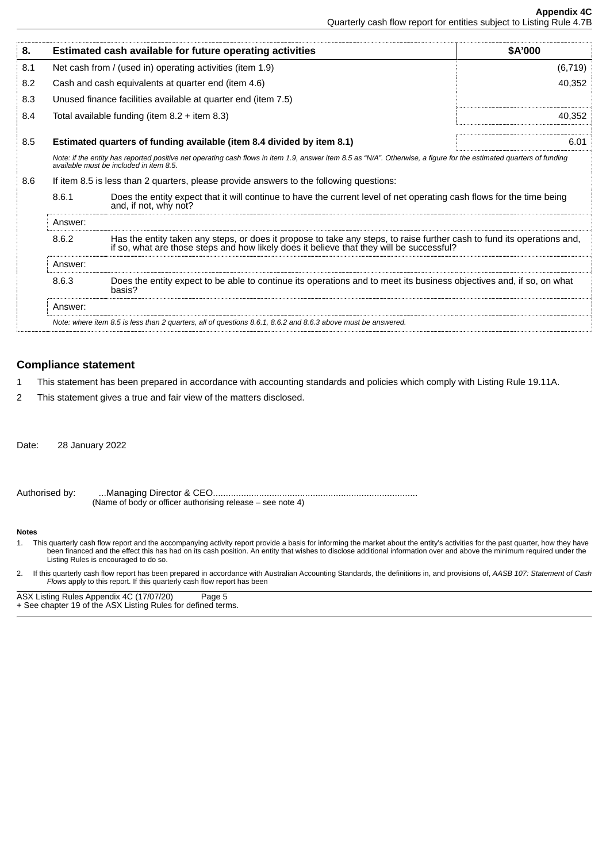| 8.  |                                                                                                                                                                                                                              | Estimated cash available for future operating activities                                                                                       | <b>SA'000</b> |
|-----|------------------------------------------------------------------------------------------------------------------------------------------------------------------------------------------------------------------------------|------------------------------------------------------------------------------------------------------------------------------------------------|---------------|
| 8.1 |                                                                                                                                                                                                                              | Net cash from / (used in) operating activities (item 1.9)                                                                                      | (6, 719)      |
| 8.2 |                                                                                                                                                                                                                              | Cash and cash equivalents at quarter end (item 4.6)                                                                                            | 40,352        |
| 8.3 |                                                                                                                                                                                                                              | Unused finance facilities available at quarter end (item 7.5)                                                                                  |               |
| 8.4 |                                                                                                                                                                                                                              | Total available funding (item $8.2 +$ item $8.3$ )                                                                                             | 40.352        |
| 8.5 |                                                                                                                                                                                                                              | Estimated quarters of funding available (item 8.4 divided by item 8.1)                                                                         | 6.01          |
|     | Note: if the entity has reported positive net operating cash flows in item 1.9, answer item 8.5 as "N/A". Otherwise, a figure for the estimated quarters of funding<br>available must be included in item 8.5.               |                                                                                                                                                |               |
| 8.6 |                                                                                                                                                                                                                              | If item 8.5 is less than 2 quarters, please provide answers to the following questions:                                                        |               |
|     | 8.6.1                                                                                                                                                                                                                        | Does the entity expect that it will continue to have the current level of net operating cash flows for the time being<br>and, if not, why not? |               |
|     | Answer:                                                                                                                                                                                                                      |                                                                                                                                                |               |
|     | Has the entity taken any steps, or does it propose to take any steps, to raise further cash to fund its operations and,<br>8.6.2<br>if so, what are those steps and how likely does it believe that they will be successful? |                                                                                                                                                |               |
|     | Answer:                                                                                                                                                                                                                      |                                                                                                                                                |               |
|     | 8.6.3                                                                                                                                                                                                                        | Does the entity expect to be able to continue its operations and to meet its business objectives and, if so, on what<br>basis?                 |               |
|     | Answer:                                                                                                                                                                                                                      |                                                                                                                                                |               |
|     |                                                                                                                                                                                                                              | Note: where item 8.5 is less than 2 quarters, all of questions 8.6.1, 8.6.2 and 8.6.3 above must be answered.                                  |               |

## **Compliance statement**

- 1 This statement has been prepared in accordance with accounting standards and policies which comply with Listing Rule 19.11A.
- 2 This statement gives a true and fair view of the matters disclosed.

Date: 28 January 2022

Authorised by: ...Managing Director & CEO................................................................................ (Name of body or officer authorising release – see note 4)

#### **Notes**

- 1. This quarterly cash flow report and the accompanying activity report provide a basis for informing the market about the entity's activities for the past quarter, how they have been financed and the effect this has had on its cash position. An entity that wishes to disclose additional information over and above the minimum required under the Listing Rules is encouraged to do so.
- 2. If this quarterly cash flow report has been prepared in accordance with Australian Accounting Standards, the definitions in, and provisions of, *AASB 107: Statement of Cash Flows* apply to this report. If this quarterly cash flow report has been

ASX Listing Rules Appendix 4C (17/07/20) Page 5 + See chapter 19 of the ASX Listing Rules for defined terms.